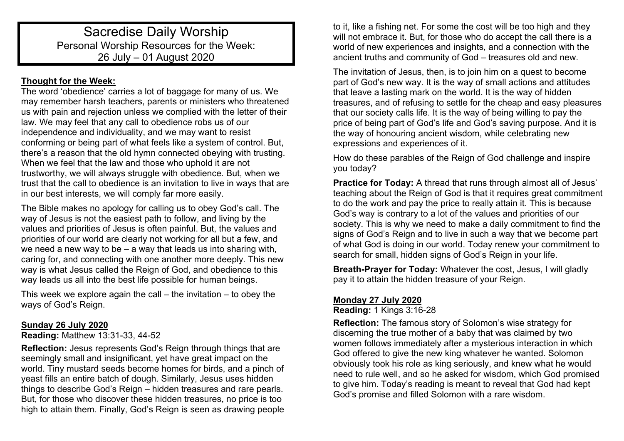# Sacredise Daily Worship Personal Worship Resources for the Week: 26 July – 01 August 2020

# **Thought for the Week:**

The word 'obedience' carries a lot of baggage for many of us. We may remember harsh teachers, parents or ministers who threatened us with pain and rejection unless we complied with the letter of their law. We may feel that any call to obedience robs us of our independence and individuality, and we may want to resist conforming or being part of what feels like a system of control. But, there's a reason that the old hymn connected obeying with trusting. When we feel that the law and those who uphold it are not trustworthy, we will always struggle with obedience. But, when we trust that the call to obedience is an invitation to live in ways that are in our best interests, we will comply far more easily.

The Bible makes no apology for calling us to obey God's call. The way of Jesus is not the easiest path to follow, and living by the values and priorities of Jesus is often painful. But, the values and priorities of our world are clearly not working for all but a few, and we need a new way to be – a way that leads us into sharing with, caring for, and connecting with one another more deeply. This new way is what Jesus called the Reign of God, and obedience to this way leads us all into the best life possible for human beings.

This week we explore again the call  $-$  the invitation  $-$  to obey the ways of God's Reign.

# **Sunday 26 July 2020**

### **Reading:** Matthew 13:31-33, 44-52

**Reflection:** Jesus represents God's Reign through things that are seemingly small and insignificant, yet have great impact on the world. Tiny mustard seeds become homes for birds, and a pinch of yeast fills an entire batch of dough. Similarly, Jesus uses hidden things to describe God's Reign – hidden treasures and rare pearls. But, for those who discover these hidden treasures, no price is too high to attain them. Finally, God's Reign is seen as drawing people

to it, like a fishing net. For some the cost will be too high and they will not embrace it. But, for those who do accept the call there is a world of new experiences and insights, and a connection with the ancient truths and community of God – treasures old and new.

The invitation of Jesus, then, is to join him on a quest to become part of God's new way. It is the way of small actions and attitudes that leave a lasting mark on the world. It is the way of hidden treasures, and of refusing to settle for the cheap and easy pleasures that our society calls life. It is the way of being willing to pay the price of being part of God's life and God's saving purpose. And it is the way of honouring ancient wisdom, while celebrating new expressions and experiences of it.

How do these parables of the Reign of God challenge and inspire you today?

**Practice for Today:** A thread that runs through almost all of Jesus' teaching about the Reign of God is that it requires great commitment to do the work and pay the price to really attain it. This is because God's way is contrary to a lot of the values and priorities of our society. This is why we need to make a daily commitment to find the signs of God's Reign and to live in such a way that we become part of what God is doing in our world. Today renew your commitment to search for small, hidden signs of God's Reign in your life.

**Breath-Prayer for Today:** Whatever the cost, Jesus, I will gladly pay it to attain the hidden treasure of your Reign.

# **Monday 27 July 2020**

**Reading:** 1 Kings 3:16-28

**Reflection:** The famous story of Solomon's wise strategy for discerning the true mother of a baby that was claimed by two women follows immediately after a mysterious interaction in which God offered to give the new king whatever he wanted. Solomon obviously took his role as king seriously, and knew what he would need to rule well, and so he asked for wisdom, which God promised to give him. Today's reading is meant to reveal that God had kept God's promise and filled Solomon with a rare wisdom.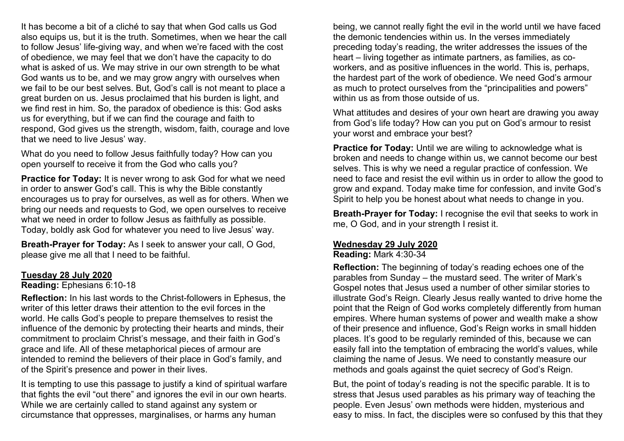It has become a bit of a cliché to say that when God calls us God also equips us, but it is the truth. Sometimes, when we hear the call to follow Jesus' life-giving way, and when we're faced with the cost of obedience, we may feel that we don't have the capacity to do what is asked of us. We may strive in our own strength to be what God wants us to be, and we may grow angry with ourselves when we fail to be our best selves. But, God's call is not meant to place a great burden on us. Jesus proclaimed that his burden is light, and we find rest in him. So, the paradox of obedience is this: God asks us for everything, but if we can find the courage and faith to respond, God gives us the strength, wisdom, faith, courage and love that we need to live Jesus' way.

What do you need to follow Jesus faithfully today? How can you open yourself to receive it from the God who calls you?

**Practice for Today:** It is never wrong to ask God for what we need in order to answer God's call. This is why the Bible constantly encourages us to pray for ourselves, as well as for others. When we bring our needs and requests to God, we open ourselves to receive what we need in order to follow Jesus as faithfully as possible. Today, boldly ask God for whatever you need to live Jesus' way.

**Breath-Prayer for Today:** As I seek to answer your call, O God, please give me all that I need to be faithful.

#### **Tuesday 28 July 2020**

**Reading:** Ephesians 6:10-18

**Reflection:** In his last words to the Christ-followers in Ephesus, the writer of this letter draws their attention to the evil forces in the world. He calls God's people to prepare themselves to resist the influence of the demonic by protecting their hearts and minds, their commitment to proclaim Christ's message, and their faith in God's grace and life. All of these metaphorical pieces of armour are intended to remind the believers of their place in God's family, and of the Spirit's presence and power in their lives.

It is tempting to use this passage to justify a kind of spiritual warfare that fights the evil "out there" and ignores the evil in our own hearts. While we are certainly called to stand against any system or circumstance that oppresses, marginalises, or harms any human

being, we cannot really fight the evil in the world until we have faced the demonic tendencies within us. In the verses immediately preceding today's reading, the writer addresses the issues of the heart – living together as intimate partners, as families, as coworkers, and as positive influences in the world. This is, perhaps, the hardest part of the work of obedience. We need God's armour as much to protect ourselves from the "principalities and powers" within us as from those outside of us.

What attitudes and desires of your own heart are drawing you away from God's life today? How can you put on God's armour to resist your worst and embrace your best?

**Practice for Today:** Until we are willing to acknowledge what is broken and needs to change within us, we cannot become our best selves. This is why we need a regular practice of confession. We need to face and resist the evil within us in order to allow the good to grow and expand. Today make time for confession, and invite God's Spirit to help you be honest about what needs to change in you.

**Breath-Prayer for Today:** I recognise the evil that seeks to work in me, O God, and in your strength I resist it.

### **Wednesday 29 July 2020**

**Reading:** Mark 4:30-34

**Reflection:** The beginning of today's reading echoes one of the parables from Sunday – the mustard seed. The writer of Mark's Gospel notes that Jesus used a number of other similar stories to illustrate God's Reign. Clearly Jesus really wanted to drive home the point that the Reign of God works completely differently from human empires. Where human systems of power and wealth make a show of their presence and influence, God's Reign works in small hidden places. It's good to be regularly reminded of this, because we can easily fall into the temptation of embracing the world's values, while claiming the name of Jesus. We need to constantly measure our methods and goals against the quiet secrecy of God's Reign.

But, the point of today's reading is not the specific parable. It is to stress that Jesus used parables as his primary way of teaching the people. Even Jesus' own methods were hidden, mysterious and easy to miss. In fact, the disciples were so confused by this that they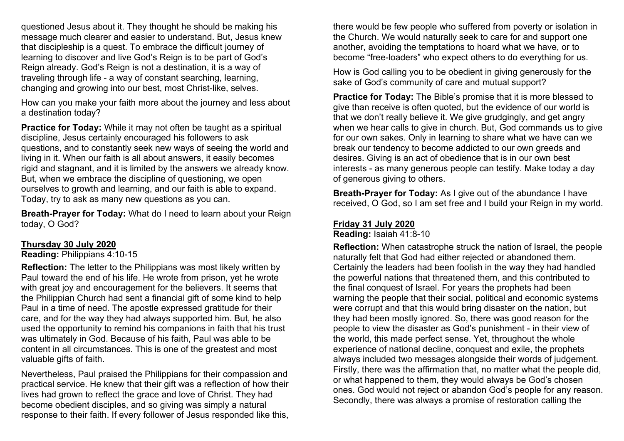questioned Jesus about it. They thought he should be making his message much clearer and easier to understand. But, Jesus knew that discipleship is a quest. To embrace the difficult journey of learning to discover and live God's Reign is to be part of God's Reign already. God's Reign is not a destination, it is a way of traveling through life - a way of constant searching, learning, changing and growing into our best, most Christ-like, selves.

How can you make your faith more about the journey and less about a destination today?

**Practice for Today:** While it may not often be taught as a spiritual discipline, Jesus certainly encouraged his followers to ask questions, and to constantly seek new ways of seeing the world and living in it. When our faith is all about answers, it easily becomes rigid and stagnant, and it is limited by the answers we already know. But, when we embrace the discipline of questioning, we open ourselves to growth and learning, and our faith is able to expand. Today, try to ask as many new questions as you can.

**Breath-Prayer for Today:** What do I need to learn about your Reign today, O God?

### **Thursday 30 July 2020**

**Reading:** Philippians 4:10-15

**Reflection:** The letter to the Philippians was most likely written by Paul toward the end of his life. He wrote from prison, yet he wrote with great joy and encouragement for the believers. It seems that the Philippian Church had sent a financial gift of some kind to help Paul in a time of need. The apostle expressed gratitude for their care, and for the way they had always supported him. But, he also used the opportunity to remind his companions in faith that his trust was ultimately in God. Because of his faith, Paul was able to be content in all circumstances. This is one of the greatest and most valuable gifts of faith.

Nevertheless, Paul praised the Philippians for their compassion and practical service. He knew that their gift was a reflection of how their lives had grown to reflect the grace and love of Christ. They had become obedient disciples, and so giving was simply a natural response to their faith. If every follower of Jesus responded like this,

there would be few people who suffered from poverty or isolation in the Church. We would naturally seek to care for and support one another, avoiding the temptations to hoard what we have, or to become "free-loaders" who expect others to do everything for us.

How is God calling you to be obedient in giving generously for the sake of God's community of care and mutual support?

**Practice for Today:** The Bible's promise that it is more blessed to give than receive is often quoted, but the evidence of our world is that we don't really believe it. We give grudgingly, and get angry when we hear calls to give in church. But, God commands us to give for our own sakes. Only in learning to share what we have can we break our tendency to become addicted to our own greeds and desires. Giving is an act of obedience that is in our own best interests - as many generous people can testify. Make today a day of generous giving to others.

**Breath-Prayer for Today:** As I give out of the abundance I have received, O God, so I am set free and I build your Reign in my world.

# **Friday 31 July 2020**

**Reading:** Isaiah 41:8-10

**Reflection:** When catastrophe struck the nation of Israel, the people naturally felt that God had either rejected or abandoned them. Certainly the leaders had been foolish in the way they had handled the powerful nations that threatened them, and this contributed to the final conquest of Israel. For years the prophets had been warning the people that their social, political and economic systems were corrupt and that this would bring disaster on the nation, but they had been mostly ignored. So, there was good reason for the people to view the disaster as God's punishment - in their view of the world, this made perfect sense. Yet, throughout the whole experience of national decline, conquest and exile, the prophets always included two messages alongside their words of judgement. Firstly, there was the affirmation that, no matter what the people did, or what happened to them, they would always be God's chosen ones. God would not reject or abandon God's people for any reason. Secondly, there was always a promise of restoration calling the